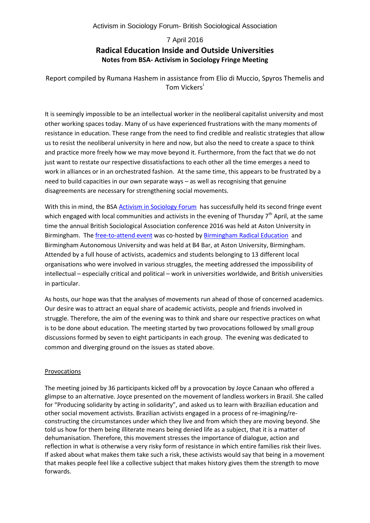Activism in Sociology Forum- British Sociological Association

# 7 April 2016 **Radical Education Inside and Outside Universities Notes from BSA- Activism in Sociology Fringe Meeting**

Report compiled by Rumana Hashem in assistance from Elio di Muccio, Spyros Themelis and Tom V[i](#page-3-0)ckers<sup>i</sup>

It is seemingly impossible to be an intellectual worker in the neoliberal capitalist university and most other working spaces today. Many of us have experienced frustrations with the many moments of resistance in education. These range from the need to find credible and realistic strategies that allow us to resist the neoliberal university in here and now, but also the need to create a space to think and practice more freely how we may move beyond it. Furthermore, from the fact that we do not just want to restate our respective dissatisfactions to each other all the time emerges a need to work in alliances or in an orchestrated fashion. At the same time, this appears to be frustrated by a need to build capacities in our own separate ways – as well as recognising that genuine disagreements are necessary for strengthening social movements.

With this in mind, the BSA [Activism in Sociology Forum](http://www.britsoc.co.uk/groups/activism-in-sociology-forum.aspx) has successfully held its second fringe event which engaged with local communities and activists in the evening of Thursday  $7<sup>th</sup>$  April, at the same time the annual British Sociological Association conference 2016 was held at Aston University in Birmingham. The [free-to-attend event](https://www.facebook.com/events/1256046981091478/) was co-hosted by [Birmingham Radical Education](https://bread4brum.wordpress.com/) and Birmingham Autonomous University and was held at B4 Bar, at Aston University, Birmingham. Attended by a full house of activists, academics and students belonging to 13 different local organisations who were involved in various struggles, the meeting addressed the impossibility of intellectual – especially critical and political – work in universities worldwide, and British universities in particular.

As hosts, our hope was that the analyses of movements run ahead of those of concerned academics. Our desire was to attract an equal share of academic activists, people and friends involved in struggle. Therefore, the aim of the evening was to think and share our respective practices on what is to be done about education. The meeting started by two provocations followed by small group discussions formed by seven to eight participants in each group. The evening was dedicated to common and diverging ground on the issues as stated above.

### Provocations

The meeting joined by 36 participants kicked off by a provocation by Joyce Canaan who offered a glimpse to an alternative. Joyce presented on the movement of landless workers in Brazil. She called for "Producing solidarity by acting in solidarity", and asked us to learn with Brazilian education and other social movement activists. Brazilian activists engaged in a process of re-imagining/reconstructing the circumstances under which they live and from which they are moving beyond. She told us how for them being illiterate means being denied life as a subject, that it is a matter of dehumanisation. Therefore, this movement stresses the importance of dialogue, action and reflection in what is otherwise a very risky form of resistance in which entire families risk their lives. If asked about what makes them take such a risk, these activists would say that being in a movement that makes people feel like a collective subject that makes history gives them the strength to move forwards.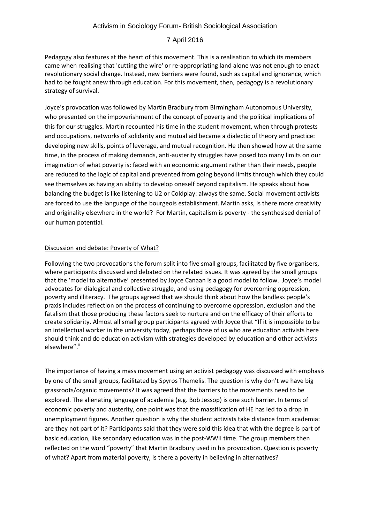## Activism in Sociology Forum- British Sociological Association

### 7 April 2016

Pedagogy also features at the heart of this movement. This is a realisation to which its members came when realising that 'cutting the wire' or re-appropriating land alone was not enough to enact revolutionary social change. Instead, new barriers were found, such as capital and ignorance, which had to be fought anew through education. For this movement, then, pedagogy is a revolutionary strategy of survival.

Joyce's provocation was followed by Martin Bradbury from Birmingham Autonomous University, who presented on the impoverishment of the concept of poverty and the political implications of this for our struggles. Martin recounted his time in the student movement, when through protests and occupations, networks of solidarity and mutual aid became a dialectic of theory and practice: developing new skills, points of leverage, and mutual recognition. He then showed how at the same time, in the process of making demands, anti-austerity struggles have posed too many limits on our imagination of what poverty is: faced with an economic argument rather than their needs, people are reduced to the logic of capital and prevented from going beyond limits through which they could see themselves as having an ability to develop oneself beyond capitalism. He speaks about how balancing the budget is like listening to U2 or Coldplay: always the same. Social movement activists are forced to use the language of the bourgeois establishment. Martin asks, is there more creativity and originality elsewhere in the world? For Martin, capitalism is poverty - the synthesised denial of our human potential.

### Discussion and debate: Poverty of What?

Following the two provocations the forum split into five small groups, facilitated by five organisers, where participants discussed and debated on the related issues. It was agreed by the small groups that the 'model to alternative' presented by Joyce Canaan is a good model to follow. Joyce's model advocates for dialogical and collective struggle, and using pedagogy for overcoming oppression, poverty and illiteracy. The groups agreed that we should think about how the landless people's praxis includes reflection on the process of continuing to overcome oppression, exclusion and the fatalism that those producing these factors seek to nurture and on the efficacy of their efforts to create solidarity. Almost all small group participants agreed with Joyce that "If it is impossible to be an intellectual worker in the university today, perhaps those of us who are education activists here should think and do education activism with strategies developed by education and other activists elsewhere"."

The importance of having a mass movement using an activist pedagogy was discussed with emphasis by one of the small groups, facilitated by Spyros Themelis. The question is why don't we have big grassroots/organic movements? It was agreed that the barriers to the movements need to be explored. The alienating language of academia (e.g. Bob Jessop) is one such barrier. In terms of economic poverty and austerity, one point was that the massification of HE has led to a drop in unemployment figures. Another question is why the student activists take distance from academia: are they not part of it? Participants said that they were sold this idea that with the degree is part of basic education, like secondary education was in the post-WWII time. The group members then reflected on the word "poverty" that Martin Bradbury used in his provocation. Question is poverty of what? Apart from material poverty, is there a poverty in believing in alternatives?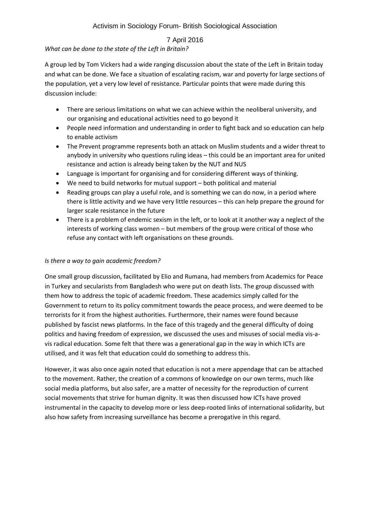## Activism in Sociology Forum- British Sociological Association

## 7 April 2016

## *What can be done to the state of the Left in Britain?*

A group led by Tom Vickers had a wide ranging discussion about the state of the Left in Britain today and what can be done. We face a situation of escalating racism, war and poverty for large sections of the population, yet a very low level of resistance. Particular points that were made during this discussion include:

- There are serious limitations on what we can achieve within the neoliberal university, and our organising and educational activities need to go beyond it
- People need information and understanding in order to fight back and so education can help to enable activism
- The Prevent programme represents both an attack on Muslim students and a wider threat to anybody in university who questions ruling ideas – this could be an important area for united resistance and action is already being taken by the NUT and NUS
- Language is important for organising and for considering different ways of thinking.
- We need to build networks for mutual support both political and material
- Reading groups can play a useful role, and is something we can do now, in a period where there is little activity and we have very little resources – this can help prepare the ground for larger scale resistance in the future
- There is a problem of endemic sexism in the left, or to look at it another way a neglect of the interests of working class women – but members of the group were critical of those who refuse any contact with left organisations on these grounds.

### *Is there a way to gain academic freedom?*

One small group discussion, facilitated by Elio and Rumana, had members from Academics for Peace in Turkey and secularists from Bangladesh who were put on death lists. The group discussed with them how to address the topic of academic freedom. These academics simply called for the Government to return to its policy commitment towards the peace process, and were deemed to be terrorists for it from the highest authorities. Furthermore, their names were found because published by fascist news platforms. In the face of this tragedy and the general difficulty of doing politics and having freedom of expression, we discussed the uses and misuses of social media vis-avis radical education. Some felt that there was a generational gap in the way in which ICTs are utilised, and it was felt that education could do something to address this.

However, it was also once again noted that education is not a mere appendage that can be attached to the movement. Rather, the creation of a commons of knowledge on our own terms, much like social media platforms, but also safer, are a matter of necessity for the reproduction of current social movements that strive for human dignity. It was then discussed how ICTs have proved instrumental in the capacity to develop more or less deep-rooted links of international solidarity, but also how safety from increasing surveillance has become a prerogative in this regard.